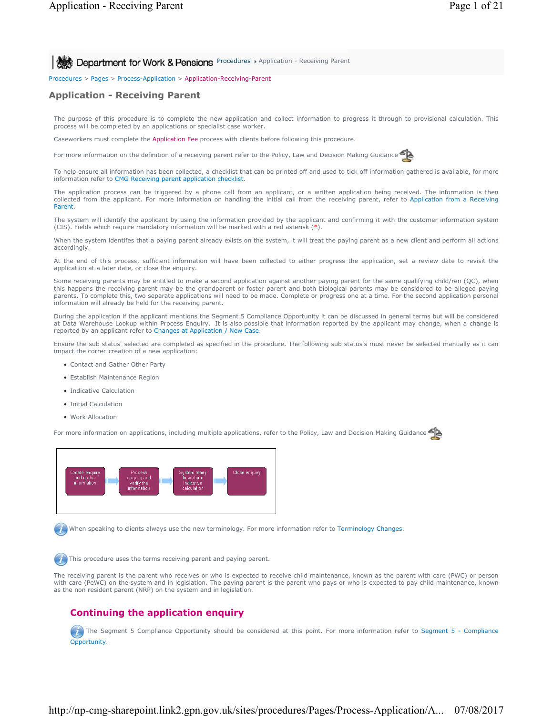**Procedures > Application - Receiving Parent** 8 **Department for Work & Pensions** Procedures > Application - Receiving Parent

Procedures > Pages > Process-Application > Application-Receiving-Parent

# **Application - Receiving Parent**

The purpose of this procedure is to complete the new application and collect information to progress it through to provisional calculation. This process will be completed by an applications or specialist case worker.

Caseworkers must complete the Application Fee process with clients before following this procedure.

For more information on the definition of a receiving parent refer to the Policy, Law and Decision Making Guidance

To help ensure all information has been collected, a checklist that can be printed off and used to tick off information gathered is available, for more information refer to CMG Receiving parent application checklist.

The application process can be triggered by a phone call from an applicant, or a written application being received. The information is then collected from the applicant. For more information on handling the initial call from the receiving parent, refer to Application from a Receiving Parent.

The system will identify the applicant by using the information provided by the applicant and confirming it with the customer information system (CIS). Fields which require mandatory information will be marked with a red asterisk (\*).

When the system identifes that a paying parent already exists on the system, it will treat the paying parent as a new client and perform all actions accordingly.

At the end of this process, sufficient information will have been collected to either progress the application, set a review date to revisit the application at a later date, or close the enquiry.

Some receiving parents may be entitled to make a second application against another paying parent for the same qualifying child/ren (QC), when this happens the receiving parent may be the grandparent or foster parent and both biological parents may be considered to be alleged paying parents. To complete this, two separate applications will need to be made. Complete or progress one at a time. For the second application personal information will already be held for the receiving parent.

During the application if the applicant mentions the Segment 5 Compliance Opportunity it can be discussed in general terms but will be considered at Data Warehouse Lookup within Process Enquiry. It is also possible that information reported by the applicant may change, when a change is reported by an applicant refer to Changes at Application / New Case.

Ensure the sub status' selected are completed as specified in the procedure. The following sub status's must never be selected manually as it can impact the correc creation of a new application:

- Contact and Gather Other Party
- Establish Maintenance Region
- Indicative Calculation
- Initial Calculation
- Work Allocation

For more information on applications, including multiple applications, refer to the Policy, Law and Decision Making Guidance



When speaking to clients always use the new terminology. For more information refer to Terminology Changes.

This procedure uses the terms receiving parent and paying parent.

The receiving parent is the parent who receives or who is expected to receive child maintenance, known as the parent with care (PWC) or person with care (PeWC) on the system and in legislation. The paying parent is the parent who pays or who is expected to pay child maintenance, known as the non resident parent (NRP) on the system and in legislation.

# **Continuing the application enquiry**

The Segment 5 Compliance Opportunity should be considered at this point. For more information refer to Segment 5 - Compliance **Opportunity**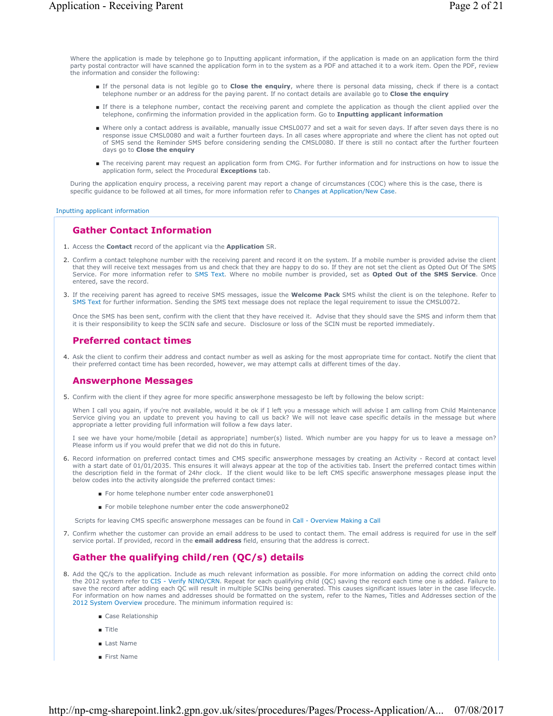Where the application is made by telephone go to Inputting applicant information, if the application is made on an application form the third party postal contractor will have scanned the application form in to the system as a PDF and attached it to a work item. Open the PDF, review the information and consider the following:

- If the personal data is not legible go to **Close the enquiry**, where there is personal data missing, check if there is a contact telephone number or an address for the paying parent. If no contact details are available go to **Close the enquiry**
- If there is a telephone number, contact the receiving parent and complete the application as though the client applied over the telephone, confirming the information provided in the application form. Go to **Inputting applicant information**
- Where only a contact address is available, manually issue CMSL0077 and set a wait for seven days. If after seven days there is no response issue CMSL0080 and wait a further fourteen days. In all cases where appropriate and where the client has not opted out of SMS send the Reminder SMS before considering sending the CMSL0080. If there is still no contact after the further fourteen days go to **Close the enquiry**
- The receiving parent may request an application form from CMG. For further information and for instructions on how to issue the application form, select the Procedural **Exceptions** tab.

During the application enquiry process, a receiving parent may report a change of circumstances (COC) where this is the case, there is specific guidance to be followed at all times, for more information refer to Changes at Application/New Case.

#### Inputting applicant information

# **Gather Contact Information**

- 1. Access the **Contact** record of the applicant via the **Application** SR.
- 2. Confirm a contact telephone number with the receiving parent and record it on the system. If a mobile number is provided advise the client that they will receive text messages from us and check that they are happy to do so. If they are not set the client as Opted Out Of The SMS Service. For more information refer to SMS Text. Where no mobile number is provided, set as **Opted Out of the SMS Service**. Once entered, save the record.
- If the receiving parent has agreed to receive SMS messages, issue the **Welcome Pack** SMS whilst the client is on the telephone. Refer to 3. SMS Text for further information. Sending the SMS text message does not replace the legal requirement to issue the CMSL0072.

Once the SMS has been sent, confirm with the client that they have received it. Advise that they should save the SMS and inform them that it is their responsibility to keep the SCIN safe and secure. Disclosure or loss of the SCIN must be reported immediately.

### **Preferred contact times**

4. Ask the client to confirm their address and contact number as well as asking for the most appropriate time for contact. Notify the client that their preferred contact time has been recorded, however, we may attempt calls at different times of the day.

# **Answerphone Messages**

5. Confirm with the client if they agree for more specific answerphone messagesto be left by following the below script:

When I call you again, if you're not available, would it be ok if I left you a message which will advise I am calling from Child Maintenance Service giving you an update to prevent you having to call us back? We will not leave case specific details in the message but where appropriate a letter providing full information will follow a few days later.

I see we have your home/mobile [detail as appropriate] number(s) listed. Which number are you happy for us to leave a message on? Please inform us if you would prefer that we did not do this in future.

- 6. Record information on preferred contact times and CMS specific answerphone messages by creating an Activity Record at contact level with a start date of 01/01/2035. This ensures it will always appear at the top of the activities tab. Insert the preferred contact times within the description field in the format of 24hr clock. If the client would like to be left CMS specific answerphone messages please input the below codes into the activity alongside the preferred contact times:
	- For home telephone number enter code answerphone01
	- For mobile telephone number enter the code answerphone02
	- Scripts for leaving CMS specific answerphone messages can be found in Call Overview Making a Call
- Confirm whether the customer can provide an email address to be used to contact them. The email address is required for use in the self 7. service portal. If provided, record in the **email address** field, ensuring that the address is correct.

# **Gather the qualifying child/ren (QC/s) details**

- 8. Add the QC/s to the application. Include as much relevant information as possible. For more information on adding the correct child onto the 2012 system refer to CIS Verify NINO/CRN. Repeat for each qualifying child ( save the record after adding each QC will result in multiple SCINs being generated. This causes significant issues later in the case lifecycle. For information on how names and addresses should be formatted on the system, refer to the Names, Titles and Addresses section of the 2012 System Overview procedure. The minimum information required is:
	- Case Relationship
	- Title
	- Last Name
	- First Name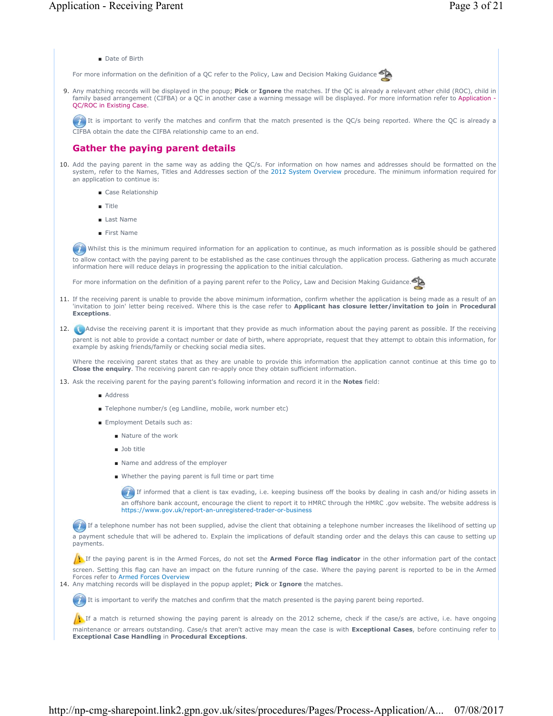

For more information on the definition of a QC refer to the Policy, Law and Decision Making Guidance

Any matching records will be displayed in the popup; **Pick** or **Ignore** the matches. If the QC is already a relevant other child (ROC), child in 9. family based arrangement (CIFBA) or a QC in another case a warning message will be displayed. For more information refer to Application - QC/ROC in Existing Case.

It is important to verify the matches and confirm that the match presented is the QC/s being reported. Where the QC is already a CIFBA obtain the date the CIFBA relationship came to an end.

### **Gather the paying parent details**

- 10. Add the paying parent in the same way as adding the QC/s. For information on how names and addresses should be formatted on the system, refer to the Names, Titles and Addresses section of the 2012 System Overview procedure. The minimum information required for an application to continue is:
	- Case Relationship
	- Title
	- Last Name
	- First Name

Whilst this is the minimum required information for an application to continue, as much information as is possible should be gathered to allow contact with the paying parent to be established as the case continues through the application process. Gathering as much accurate information here will reduce delays in progressing the application to the initial calculation.

For more information on the definition of a paying parent refer to the Policy, Law and Decision Making Guidance.



11. If the receiving parent is unable to provide the above minimum information, confirm whether the application is being made as a result of an 'invitation to join' letter being received. Where this is the case refer to **Applicant has closure letter/invitation to join** in **Procedural Exceptions**.

#### 12. Advise the receiving parent it is important that they provide as much information about the paying parent as possible. If the receiving parent is not able to provide a contact number or date of birth, where appropriate, request that they attempt to obtain this information, for example by asking friends/family or checking social media sites.

Where the receiving parent states that as they are unable to provide this information the application cannot continue at this time go to **Close the enquiry**. The receiving parent can re-apply once they obtain sufficient information.

- 13. Ask the receiving parent for the paying parent's following information and record it in the **Notes** field:
	- Address
	- Telephone number/s (eg Landline, mobile, work number etc)
	- Employment Details such as:
		- Nature of the work
		- Job title
		- Name and address of the employer
		- Whether the paying parent is full time or part time

If informed that a client is tax evading, i.e. keeping business off the books by dealing in cash and/or hiding assets in an offshore bank account, encourage the client to report it to HMRC through the HMRC .gov website. The website address is https://www.gov.uk/report-an-unregistered-trader-or-business

If a telephone number has not been supplied, advise the client that obtaining a telephone number increases the likelihood of setting up a payment schedule that will be adhered to. Explain the implications of default standing order and the delays this can cause to setting up payments.

If the paying parent is in the Armed Forces, do not set the **Armed Force flag indicator** in the other information part of the contact screen. Setting this flag can have an impact on the future running of the case. Where the paying parent is reported to be in the Armed Forces refer to Armed Forces Overview

14. Any matching records will be displayed in the popup applet; **Pick** or Ignore the matches.

It is important to verify the matches and confirm that the match presented is the paying parent being reported.

If a match is returned showing the paying parent is already on the 2012 scheme, check if the case/s are active, i.e. have ongoing maintenance or arrears outstanding. Case/s that aren't active may mean the case is with **Exceptional Cases**, before continuing refer to **Exceptional Case Handling** in **Procedural Exceptions**.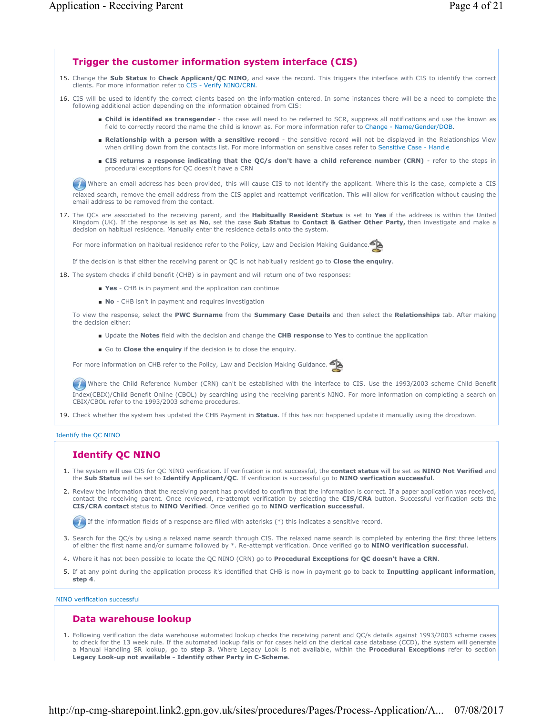# **Trigger the customer information system interface (CIS)**

- 15. Change the Sub Status to Check Applicant/QC NINO, and save the record. This triggers the interface with CIS to identify the correct clients. For more information refer to CIS - Verify NINO/CRN.
- 16. CIS will be used to identify the correct clients based on the information entered. In some instances there will be a need to complete the following additional action depending on the information obtained from CIS:
	- Child is identifed as transgender the case will need to be referred to SCR, suppress all notifications and use the known as field to correctly record the name the child is known as. For more information refer to Change - Name/Gender/DOB.
	- Relationship with a person with a sensitive record the sensitive record will not be displayed in the Relationships View when drilling down from the contacts list. For more information on sensitive cases refer to Sensitive Case - Handle
	- CIS returns a response indicating that the QC/s don't have a child reference number (CRN) refer to the steps in procedural exceptions for QC doesn't have a CRN

Where an email address has been provided, this will cause CIS to not identify the applicant. Where this is the case, complete a CIS relaxed search, remove the email address from the CIS applet and reattempt verification. This will allow for verification without causing the email address to be removed from the contact.

17. The QCs are associated to the receiving parent, and the **Habitually Resident Status** is set to Yes if the address is within the United Kingdom (UK). If the response is set as **No**, set the case **Sub Status** to **Contact & Gather Other Party,** then investigate and make a decision on habitual residence. Manually enter the residence details onto the system.

For more information on habitual residence refer to the Policy, Law and Decision Making Guidance.

If the decision is that either the receiving parent or QC is not habitually resident go to **Close the enquiry**.

- 18. The system checks if child benefit (CHB) is in payment and will return one of two responses:
	- **Yes** CHB is in payment and the application can continue
	- **No** CHB isn't in payment and requires investigation

To view the response, select the **PWC Surname** from the **Summary Case Details** and then select the **Relationships** tab. After making the decision either:

- Update the **Notes** field with the decision and change the **CHB response** to **Yes** to continue the application
- Go to **Close the enquiry** if the decision is to close the enquiry.

For more information on CHB refer to the Policy, Law and Decision Making Guidance.

Where the Child Reference Number (CRN) can't be established with the interface to CIS. Use the 1993/2003 scheme Child Benefit Index(CBIX)/Child Benefit Online (CBOL) by searching using the receiving parent's NINO. For more information on completing a search on CBIX/CBOL refer to the 1993/2003 scheme procedures.

19. Check whether the system has updated the CHB Payment in **Status**. If this has not happened update it manually using the dropdown.

Identify the QC NINO

# **Identify QC NINO**

- 1. The system will use CIS for QC NINO verification. If verification is not successful, the **contact status** will be set as NINO Not Verified and the **Sub Status** will be set to **Identify Applicant/QC**. If verification is successful go to **NINO verfication successful**.
- 2. Review the information that the receiving parent has provided to confirm that the information is correct. If a paper application was received, contact the receiving parent. Once reviewed, re-attempt verification by selecting the **CIS/CRA** button. Successful verification sets the **CIS/CRA contact** status to **NINO Verified**. Once verified go to **NINO verfication successful**.

If the information fields of a response are filled with asterisks  $(*)$  this indicates a sensitive record.

- 3. Search for the QC/s by using a relaxed name search through CIS. The relaxed name search is completed by entering the first three letters of either the first name and/or surname followed by \*. Re-attempt verification. Once verified go to **NINO verification successful**.
- 4. Where it has not been possible to locate the QC NINO (CRN) go to **Procedural Exceptions** for **QC doesn't have a CRN**.
- If at any point during the application process it's identified that CHB is now in payment go to back to **Inputting applicant information**, 5. **step 4**.

NINO verification successful

# **Data warehouse lookup**

Following verification the data warehouse automated lookup checks the receiving parent and QC/s details against 1993/2003 scheme cases 1. to check for the 13 week rule. If the automated lookup fails or for cases held on the clerical case database (CCD), the system will generate a Manual Handling SR lookup, go to **step 3**. Where Legacy Look is not available, within the **Procedural Exceptions** refer to section **Legacy Look-up not available - Identify other Party in C-Scheme**.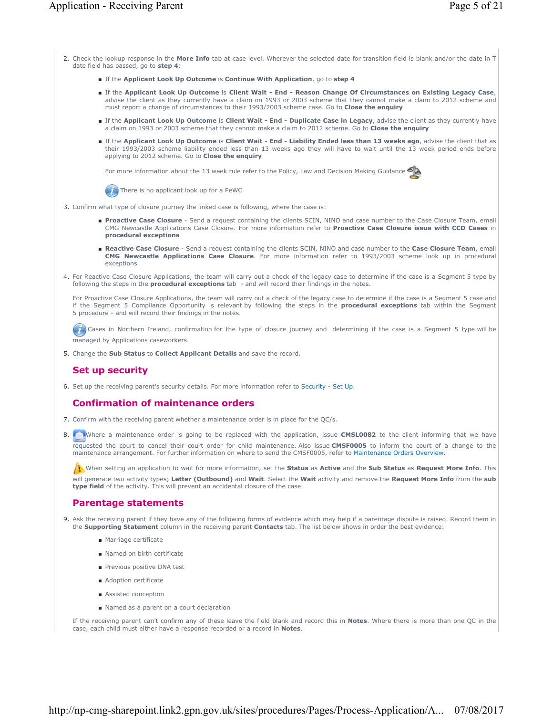- 2. Check the lookup response in the **More Info** tab at case level. Wherever the selected date for transition field is blank and/or the date in T date field has passed, go to **step 4**:
	- If the **Applicant Look Up Outcome** is **Continue With Application**, go to **step 4**
	- If the Applicant Look Up Outcome is Client Wait End Reason Change Of Circumstances on Existing Legacy Case, advise the client as they currently have a claim on 1993 or 2003 scheme that they cannot make a claim to 2012 scheme and must report a change of circumstances to their 1993/2003 scheme case. Go to **Close the enquiry**
	- If the Applicant Look Up Outcome is Client Wait End Duplicate Case in Legacy, advise the client as they currently have a claim on 1993 or 2003 scheme that they cannot make a claim to 2012 scheme. Go to **Close the enquiry**
	- If the Applicant Look Up Outcome is Client Wait End Liability Ended less than 13 weeks ago, advise the client that as their 1993/2003 scheme liability ended less than 13 weeks ago they will have to wait until the 13 week period ends before applying to 2012 scheme. Go to **Close the enquiry**

For more information about the 13 week rule refer to the Policy, Law and Decision Making Guidance



- 3. Confirm what type of closure journey the linked case is following, where the case is:
	- Proactive Case Closure Send a request containing the clients SCIN, NINO and case number to the Case Closure Team, email CMG Newcastle Applications Case Closure. For more information refer to **Proactive Case Closure issue with CCD Cases** in **procedural exceptions**
	- Reactive Case Closure Send a request containing the clients SCIN, NINO and case number to the Case Closure Team, email **CMG Newcastle Applications Case Closure**. For more information refer to 1993/2003 scheme look up in procedural exceptions
- 4. For Reactive Case Closure Applications, the team will carry out a check of the legacy case to determine if the case is a Segment 5 type by following the steps in the **procedural exceptions** tab - and will record their findings in the notes.

For Proactive Case Closure Applications, the team will carry out a check of the legacy case to determine if the case is a Segment 5 case and if the Segment 5 Compliance Opportunity is relevant by following the steps in the **procedural exceptions** tab within the Segment 5 procedure - and will record their findings in the notes.

Cases in Northern Ireland, confirmation for the type of closure journey and determining if the case is a Segment 5 type will be managed by Applications caseworkers.

5. Change the **Sub Status** to **Collect Applicant Details** and save the record.

# **Set up security**

6. Set up the receiving parent's security details. For more information refer to Security - Set Up.

### **Confirmation of maintenance orders**

- 7. Confirm with the receiving parent whether a maintenance order is in place for the QC/s.
- 8. **The Unity of the Constant** of the state of the state of the two application, issue **CMSL0082** to the client informing that we have requested the court to cancel their court order for child maintenance. Also issue **CMSF0005** to inform the court of a change to the maintenance arrangement. For further information on where to send the CMSF0005, refer to Maintenance Orders Overview.

When setting an application to wait for more information, set the **Status** as **Active** and the **Sub Status** as **Request More Info**. This will generate two activity types; **Letter (Outbound)** and **Wait**. Select the **Wait** activity and remove the **Request More Info** from the **sub type field** of the activity. This will prevent an accidental closure of the case.

### **Parentage statements**

- 9. Ask the receiving parent if they have any of the following forms of evidence which may help if a parentage dispute is raised. Record them in the **Supporting Statement** column in the receiving parent **Contacts** tab. The list below shows in order the best evidence:
	- Marriage certificate
	- Named on birth certificate
	- Previous positive DNA test
	- Adoption certificate
	- Assisted conception
	- Named as a parent on a court declaration

If the receiving parent can't confirm any of these leave the field blank and record this in **Notes**. Where there is more than one QC in the case, each child must either have a response recorded or a record in **Notes**.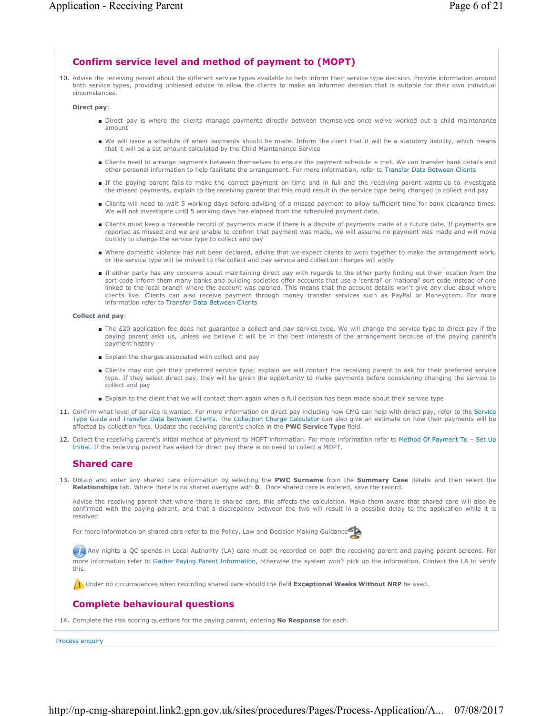# **Confirm service level and method of payment to (MOPT)**

10. Advise the receiving parent about the different service types available to help inform their service type decision. Provide information around both service types, providing unbiased advice to allow the clients to make an informed decision that is suitable for their own individual circumstances.

#### **Direct pay**:

- Direct pay is where the clients manage payments directly between themselves once we've worked out a child maintenance amount
- We will issue a schedule of when payments should be made. Inform the client that it will be a statutory liability, which means that it will be a set amount calculated by the Child Maintenance Service
- Clients need to arrange payments between themselves to ensure the payment schedule is met. We can transfer bank details and other personal information to help facilitate the arrangement. For more information, refer to Transfer Data Between Clients
- If the paying parent fails to make the correct payment on time and in full and the receiving parent wants us to investigate the missed payments, explain to the receiving parent that this could result in the service type being changed to collect and pay
- Clients will need to wait 5 working days before advising of a missed payment to allow sufficient time for bank clearance times. We will not investigate until 5 working days has elapsed from the scheduled payment date.
- Clients must keep a traceable record of payments made if there is a dispute of payments made at a future date. If payments are reported as missed and we are unable to confirm that payment was made, we will assume no payment was made and will move quickly to change the service type to collect and pay
- Where domestic violence has not been declared, advise that we expect clients to work together to make the arrangement work, or the service type will be moved to the collect and pay service and collection charges will apply
- If either party has any concerns about maintaining direct pay with regards to the other party finding out their location from the sort code inform them many banks and building societies offer accounts that use a 'central' or 'national' sort code instead of one linked to the local branch where the account was opened. This means that the account details won't give any clue about where clients live. Clients can also receive payment through money transfer services such as PayPal or Moneygram. For more information refer to Transfer Data Between Clients

#### **Collect and pay**:

- The £20 application fee does not guarantee a collect and pay service type. We will change the service type to direct pay if the paying parent asks us, unless we believe it will be in the best interests of the arrangement because of the paying parent's payment history
- Explain the charges associated with collect and pay
- Clients may not get their preferred service type; explain we will contact the receiving parent to ask for their preferred service type. If they select direct pay, they will be given the opportunity to make payments before considering changing the service to collect and pay
- Explain to the client that we will contact them again when a full decision has been made about their service type
- 11. Confirm what level of service is wanted. For more information on direct pay including how CMG can help with direct pay, refer to the Service Type Guide and Transfer Data Between Clients. The Collection Charge Calculator can also give an estimate on how their payments will be affected by collection fees. Update the receiving parent's choice in the **PWC Service Type** field.
- 12. Collect the receiving parent's initial method of payment to MOPT information. For more information refer to Method Of Payment To Set Up Initial. If the receiving parent has asked for direct pay there is no need to collect a MOPT.

### **Shared care**

13. Obtain and enter any shared care information by selecting the PWC Surname from the Summary Case details and then select the **Relationships** tab. Where there is no shared overtype with **0**. Once shared care is entered, save the record.

Advise the receiving parent that where there is shared care, this affects the calculation. Make them aware that shared care will also be confirmed with the paying parent, and that a discrepancy between the two will result in a possible delay to the application while it is resolved.

For more information on shared care refer to the Policy, Law and Decision Making Guidance

Any nights a QC spends in Local Authority (LA) care must be recorded on both the receiving parent and paying parent screens. For more information refer to Gather Paying Parent Information, otherwise the system won't pick up the information. Contact the LA to verify this.

Under no circumstances when recording shared care should the field **Exceptional Weeks Without NRP** be used.

### **Complete behavioural questions**

14. Complete the risk scoring questions for the paying parent, entering **No Response** for each.

Process enquiry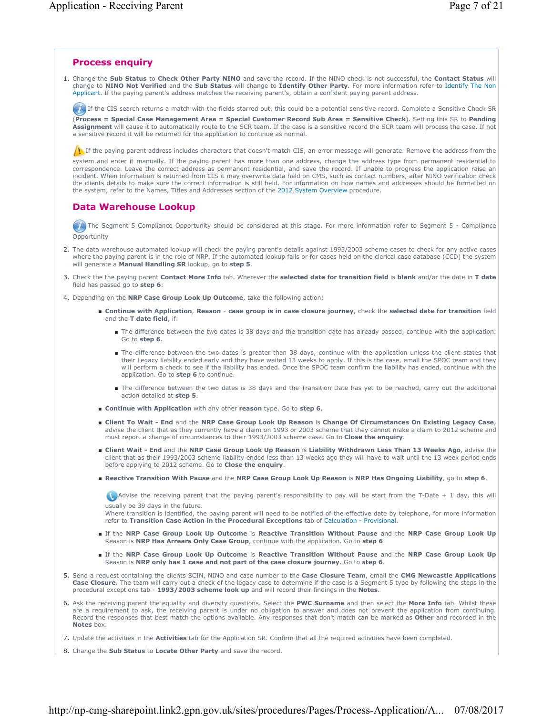# **Process enquiry**

Change the **Sub Status** to **Check Other Party NINO** and save the record. If the NINO check is not successful, the **Contact Status** will 1. change to **NINO Not Verified** and the **Sub Status** will change to **Identify Other Party**. For more information refer to Identify The Non Applicant. If the paying parent's address matches the receiving parent's, obtain a confident paying parent address.

If the CIS search returns a match with the fields starred out, this could be a potential sensitive record. Complete a Sensitive Check SR

(**Process = Special Case Management Area = Special Customer Record Sub Area = Sensitive Check**). Setting this SR to **Pending Assignment** will cause it to automatically route to the SCR team. If the case is a sensitive record the SCR team will process the case. If not a sensitive record it will be returned for the application to continue as normal.

If the paying parent address includes characters that doesn't match CIS, an error message will generate. Remove the address from the

system and enter it manually. If the paying parent has more than one address, change the address type from permanent residential to correspondence. Leave the correct address as permanent residential, and save the record. If unable to progress the application raise an incident. When information is returned from CIS it may overwrite data held on CMS, such as contact numbers, after NINO verification check the clients details to make sure the correct information is still held. For information on how names and addresses should be formatted on the system, refer to the Names, Titles and Addresses section of the 2012 System Overview procedure.

### **Data Warehouse Lookup**

The Segment 5 Compliance Opportunity should be considered at this stage. For more information refer to Segment 5 - Compliance Opportunity

- 2. The data warehouse automated lookup will check the paying parent's details against 1993/2003 scheme cases to check for any active cases where the paying parent is in the role of NRP. If the automated lookup fails or for cases held on the clerical case database (CCD) the system will generate a **Manual Handling SR** lookup, go to **step 5**.
- Check the the paying parent **Contact More Info** tab. Wherever the **selected date for transition field** is **blank** and/or the date in **T date**  3. field has passed go to **step 6**:
- 4. Depending on the **NRP Case Group Look Up Outcome**, take the following action:
	- Continue with Application, Reason case group is in case closure journey, check the selected date for transition field and the **T date field**, if:
		- The difference between the two dates is 38 days and the transition date has already passed, continue with the application. Go to **step 6**.
		- The difference between the two dates is greater than 38 days, continue with the application unless the client states that their Legacy liability ended early and they have waited 13 weeks to apply. If this is the case, email the SPOC team and they will perform a check to see if the liability has ended. Once the SPOC team confirm the liability has ended, continue with the application. Go to **step 6** to continue.
		- The difference between the two dates is 38 days and the Transition Date has yet to be reached, carry out the additional action detailed at **step 5**.
	- **Continue with Application** with any other **reason** type. Go to **step 6**.
	- Client To Wait End and the NRP Case Group Look Up Reason is Change Of Circumstances On Existing Legacy Case, advise the client that as they currently have a claim on 1993 or 2003 scheme that they cannot make a claim to 2012 scheme and must report a change of circumstances to their 1993/2003 scheme case. Go to **Close the enquiry**.
	- **Client Wait End** and the **NRP Case Group Look Up Reason** is **Liability Withdrawn Less Than 13 Weeks Ago**, advise the client that as their 1993/2003 scheme liability ended less than 13 weeks ago they will have to wait until the 13 week period ends before applying to 2012 scheme. Go to **Close the enquiry**.
	- Reactive Transition With Pause and the NRP Case Group Look Up Reason is NRP Has Ongoing Liability, go to step 6.

Advise the receiving parent that the paying parent's responsibility to pay will be start from the T-Date + 1 day, this will usually be 39 days in the future.

Where transition is identified, the paying parent will need to be notified of the effective date by telephone, for more information refer to **Transition Case Action in the Procedural Exceptions** tab of Calculation - Provisional.

- If the NRP Case Group Look Up Outcome is Reactive Transition Without Pause and the NRP Case Group Look Up Reason is **NRP Has Arrears Only Case Group**, continue with the application. Go to **step 6**.
- If the NRP Case Group Look Up Outcome is Reactive Transition Without Pause and the NRP Case Group Look Up Reason is **NRP only has 1 case and not part of the case closure journey**. Go to **step 6**.
- Send a request containing the clients SCIN, NINO and case number to the **Case Closure Team**, email the **CMG Newcastle Applications**  5. **Case Closure**. The team will carry out a check of the legacy case to determine if the case is a Segment 5 type by following the steps in the procedural exceptions tab - **1993/2003 scheme look up** and will record their findings in the **Notes**.
- 6. Ask the receiving parent the equality and diversity questions. Select the PWC Surname and then select the More Info tab. Whilst these are a requirement to ask, the receiving parent is under no obligation to answer and does not prevent the application from continuing. Record the responses that best match the options available. Any responses that don't match can be marked as **Other** and recorded in the **Notes** box.
- 7. Update the activities in the **Activities** tab for the Application SR. Confirm that all the required activities have been completed.
- 8. Change the **Sub Status** to **Locate Other Party** and save the record.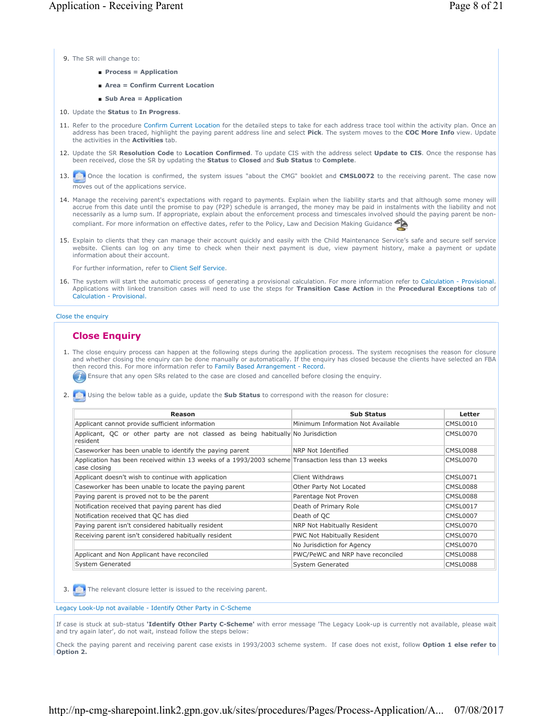9. The SR will change to:

- **Process = Application**
- **Area = Confirm Current Location**
- **Sub Area = Application**
- 10. Update the **Status** to **In Progress**.
- 11. Refer to the procedure Confirm Current Location for the detailed steps to take for each address trace tool within the activity plan. Once an address has been traced, highlight the paying parent address line and select **Pick**. The system moves to the **COC More Info** view. Update the activities in the **Activities** tab.
- 12. Update the SR Resolution Code to Location Confirmed. To update CIS with the address select Update to CIS. Once the response has been received, close the SR by updating the **Status** to **Closed** and **Sub Status** to **Complete**.
- 13. Once the location is confirmed, the system issues "about the CMG" booklet and **CMSL0072** to the receiving parent. The case now moves out of the applications service.
- 14. Manage the receiving parent's expectations with regard to payments. Explain when the liability starts and that although some money will accrue from this date until the promise to pay (P2P) schedule is arranged, the money may be paid in instalments with the liability and not necessarily as a lump sum. If appropriate, explain about the enforcement process and timescales involved should the paying parent be noncompliant. For more information on effective dates, refer to the Policy, Law and Decision Making Guidance
- 15. Explain to clients that they can manage their account quickly and easily with the Child Maintenance Service's safe and secure self service website. Clients can log on any time to check when their next payment is due, view payment history, make a payment or update information about their account.

For further information, refer to Client Self Service.

16. The system will start the automatic process of generating a provisional calculation. For more information refer to Calculation - Provisional. Applications with linked transition cases will need to use the steps for **Transition Case Action** in the **Procedural Exceptions** tab of Calculation - Provisional.

#### Close the enquiry

# **Close Enquiry**

1. The close enquiry process can happen at the following steps during the application process. The system recognises the reason for closure and whether closing the enquiry can be done manually or automatically. If the enquiry has closed because the clients have selected an FBA then record this. For more information refer to Family Based Arrangement - Record.

Ensure that any open SRs related to the case are closed and cancelled before closing the enquiry.

2. Using the below table as a guide, update the **Sub Status** to correspond with the reason for closure:

| Reason                                                                                                             | <b>Sub Status</b>                  | Letter          |
|--------------------------------------------------------------------------------------------------------------------|------------------------------------|-----------------|
| Applicant cannot provide sufficient information                                                                    | Minimum Information Not Available  | <b>CMSL0010</b> |
| Applicant, QC or other party are not classed as being habitually No Jurisdiction<br>resident                       |                                    | <b>CMSL0070</b> |
| Caseworker has been unable to identify the paying parent                                                           | NRP Not Identified                 | CMSL0088        |
| Application has been received within 13 weeks of a 1993/2003 scheme Transaction less than 13 weeks<br>case closing |                                    | CMSL0070        |
| Applicant doesn't wish to continue with application                                                                | Client Withdraws                   | <b>CMSL0071</b> |
| Caseworker has been unable to locate the paying parent                                                             | Other Party Not Located            | CMSL0088        |
| Paying parent is proved not to be the parent                                                                       | Parentage Not Proven               | CMSL0088        |
| Notification received that paying parent has died                                                                  | Death of Primary Role              | <b>CMSL0017</b> |
| Notification received that QC has died                                                                             | Death of QC                        | <b>CMSL0007</b> |
| Paying parent isn't considered habitually resident                                                                 | NRP Not Habitually Resident        | CMSL0070        |
| Receiving parent isn't considered habitually resident                                                              | <b>PWC Not Habitually Resident</b> | CMSL0070        |
|                                                                                                                    | No Jurisdiction for Agency         | <b>CMSL0070</b> |
| Applicant and Non Applicant have reconciled                                                                        | PWC/PeWC and NRP have reconciled   | <b>CMSL0088</b> |
| System Generated                                                                                                   | System Generated                   | <b>CMSL0088</b> |

3. The relevant closure letter is issued to the receiving parent.

Legacy Look-Up not available - Identify Other Party in C-Scheme

If case is stuck at sub-status **'Identify Other Party C-Scheme'** with error message 'The Legacy Look-up is currently not available, please wait and try again later', do not wait, instead follow the steps below:

Check the paying parent and receiving parent case exists in 1993/2003 scheme system. If case does not exist, follow **Option 1 else refer to Option 2.**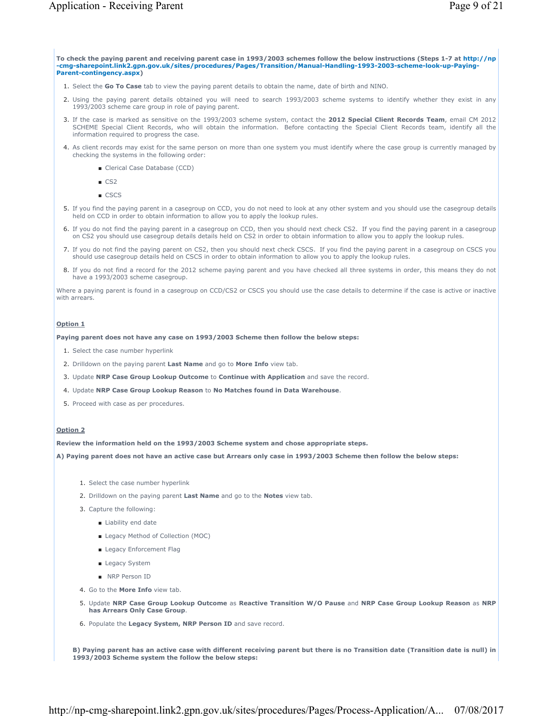**To check the paying parent and receiving parent case in 1993/2003 schemes follow the below instructions (Steps 1-7 at http://np -cmg-sharepoint.link2.gpn.gov.uk/sites/procedures/Pages/Transition/Manual-Handling-1993-2003-scheme-look-up-Paying-Parent-contingency.aspx)**

- 1. Select the **Go To Case** tab to view the paying parent details to obtain the name, date of birth and NINO.
- Using the paying parent details obtained you will need to search 1993/2003 scheme systems to identify whether they exist in any 2. 1993/2003 scheme care group in role of paying parent.
- If the case is marked as sensitive on the 1993/2003 scheme system, contact the **2012 Special Client Records Team**, email CM 2012 3. SCHEME Special Client Records, who will obtain the information. Before contacting the Special Client Records team, identify all the information required to progress the case.
- 4. As client records may exist for the same person on more than one system you must identify where the case group is currently managed by checking the systems in the following order:
	- Clerical Case Database (CCD)
	- CS<sub>2</sub>
	- CSCS
- 5. If you find the paying parent in a casegroup on CCD, you do not need to look at any other system and you should use the casegroup details held on CCD in order to obtain information to allow you to apply the lookup rules.
- 6. If you do not find the paying parent in a casegroup on CCD, then you should next check CS2. If you find the paying parent in a casegroup on CS2 you should use casegroup details details held on CS2 in order to obtain information to allow you to apply the lookup rules.
- If you do not find the paying parent on CS2, then you should next check CSCS. If you find the paying parent in a casegroup on CSCS you 7. should use casegroup details held on CSCS in order to obtain information to allow you to apply the lookup rules.
- 8. If you do not find a record for the 2012 scheme paying parent and you have checked all three systems in order, this means they do not have a 1993/2003 scheme casegroup.

Where a paying parent is found in a casegroup on CCD/CS2 or CSCS you should use the case details to determine if the case is active or inactive with arrears.

#### **Option 1**

**Paying parent does not have any case on 1993/2003 Scheme then follow the below steps:**

- 1. Select the case number hyperlink
- 2. Drilldown on the paying parent **Last Name** and go to **More Info** view tab.
- 3. Update **NRP Case Group Lookup Outcome** to **Continue with Application** and save the record.
- 4. Update **NRP Case Group Lookup Reason** to **No Matches found in Data Warehouse**.
- 5. Proceed with case as per procedures.

### **Option 2**

**Review the information held on the 1993/2003 Scheme system and chose appropriate steps.**

**A) Paying parent does not have an active case but Arrears only case in 1993/2003 Scheme then follow the below steps:**

- 1. Select the case number hyperlink
- 2. Drilldown on the paying parent **Last Name** and go to the **Notes** view tab.
- 3. Capture the following:
	- Liability end date
	- Legacy Method of Collection (MOC)
	- Legacy Enforcement Flag
	- Legacy System
	- NRP Person ID
- 4. Go to the **More Info** view tab.
- Update **NRP Case Group Lookup Outcome** as **Reactive Transition W/O Pause** and **NRP Case Group Lookup Reason** as **NRP**  5. **has Arrears Only Case Group**.
- 6. Populate the **Legacy System, NRP Person ID** and save record.

**B) Paying parent has an active case with different receiving parent but there is no Transition date (Transition date is null) in 1993/2003 Scheme system the follow the below steps:**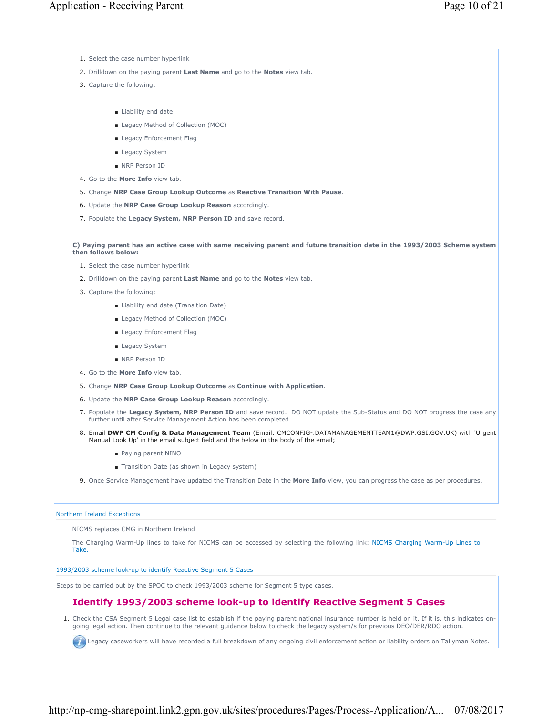- 1. Select the case number hyperlink
- 2. Drilldown on the paying parent **Last Name** and go to the **Notes** view tab.
- 3. Capture the following:
	- Liability end date
	- Legacy Method of Collection (MOC)
	- Legacy Enforcement Flag
	- Legacy System
	- NRP Person ID
- 4. Go to the **More Info** view tab.
- 5. Change **NRP Case Group Lookup Outcome** as **Reactive Transition With Pause**.
- 6. Update the **NRP Case Group Lookup Reason** accordingly.
- 7. Populate the **Legacy System, NRP Person ID** and save record.

**C) Paying parent has an active case with same receiving parent and future transition date in the 1993/2003 Scheme system then follows below:**

- 1. Select the case number hyperlink
- 2. Drilldown on the paying parent **Last Name** and go to the **Notes** view tab.
- 3. Capture the following:
	- Liability end date (Transition Date)
	- Legacy Method of Collection (MOC)
	- Legacy Enforcement Flag
	- Legacy System
	- NRP Person ID
- 4. Go to the **More Info** view tab.
- 5. Change **NRP Case Group Lookup Outcome** as **Continue with Application**.
- 6. Update the **NRP Case Group Lookup Reason** accordingly.
- 7. Populate the Legacy System, NRP Person ID and save record. DO NOT update the Sub-Status and DO NOT progress the case any further until after Service Management Action has been completed.
- Email **DWP CM Config & Data Management Team** (Email: CMCONFIG-.DATAMANAGEMENTTEAM1@DWP.GSI.GOV.UK) with 'Urgent 8. Manual Look Up' in the email subject field and the below in the body of the email;
	- Paying parent NINO
	- Transition Date (as shown in Legacy system)
- 9. Once Service Management have updated the Transition Date in the **More Info** view, you can progress the case as per procedures.

#### Northern Ireland Exceptions

NICMS replaces CMG in Northern Ireland

The Charging Warm-Up lines to take for NICMS can be accessed by selecting the following link: NICMS Charging Warm-Up Lines to Take.

#### 1993/2003 scheme look-up to identify Reactive Segment 5 Cases

Steps to be carried out by the SPOC to check 1993/2003 scheme for Segment 5 type cases.

# **Identify 1993/2003 scheme look-up to identify Reactive Segment 5 Cases**

1. Check the CSA Segment 5 Legal case list to establish if the paying parent national insurance number is held on it. If it is, this indicates ongoing legal action. Then continue to the relevant guidance below to check the legacy system/s for previous DEO/DER/RDO action.

**CO** Legacy caseworkers will have recorded a full breakdown of any ongoing civil enforcement action or liability orders on Tallyman Notes.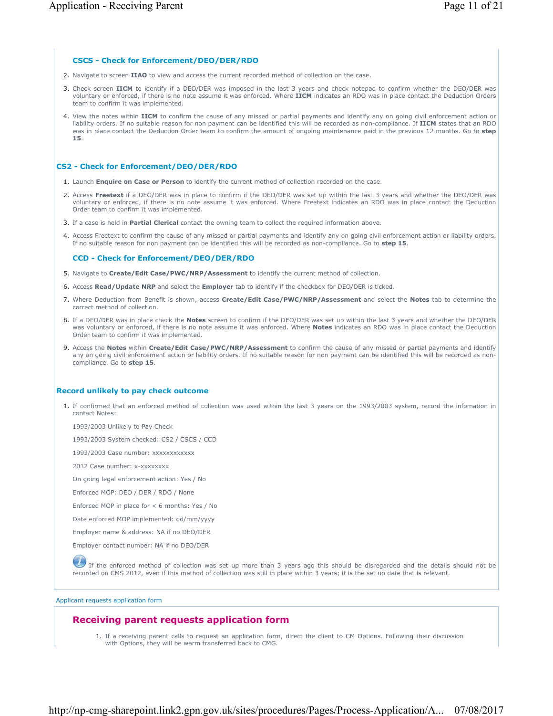### **CSCS - Check for Enforcement/DEO/DER/RDO**

- 2. Navigate to screen **IIAO** to view and access the current recorded method of collection on the case.
- 3. Check screen IICM to identify if a DEO/DER was imposed in the last 3 years and check notepad to confirm whether the DEO/DER was voluntary or enforced, if there is no note assume it was enforced. Where **IICM** indicates an RDO was in place contact the Deduction Orders team to confirm it was implemented.
- 4. View the notes within IICM to confirm the cause of any missed or partial payments and identify any on going civil enforcement action or liability orders. If no suitable reason for non payment can be identified this will be recorded as non-compliance. If **IICM** states that an RDO was in place contact the Deduction Order team to confirm the amount of ongoing maintenance paid in the previous 12 months. Go to **step 15**.

### **CS2 - Check for Enforcement/DEO/DER/RDO**

- 1. Launch **Enquire on Case or Person** to identify the current method of collection recorded on the case.
- 2. Access Freetext if a DEO/DER was in place to confirm if the DEO/DER was set up within the last 3 years and whether the DEO/DER was voluntary or enforced, if there is no note assume it was enforced. Where Freetext indicates an RDO was in place contact the Deduction Order team to confirm it was implemented.
- 3. If a case is held in **Partial Clerical** contact the owning team to collect the required information above.
- Access Freetext to confirm the cause of any missed or partial payments and identify any on going civil enforcement action or liability orders. 4. If no suitable reason for non payment can be identified this will be recorded as non-compliance. Go to **step 15**.

### **CCD - Check for Enforcement/DEO/DER/RDO**

- 5. Navigate to **Create/Edit Case/PWC/NRP/Assessment** to identify the current method of collection.
- 6. Access **Read/Update NRP** and select the **Employer** tab to identify if the checkbox for DEO/DER is ticked.
- Where Deduction from Benefit is shown, access **Create/Edit Case/PWC/NRP/Assessment** and select the **Notes** tab to determine the 7. correct method of collection.
- 8. If a DEO/DER was in place check the Notes screen to confirm if the DEO/DER was set up within the last 3 years and whether the DEO/DER was voluntary or enforced, if there is no note assume it was enforced. Where **Notes** indicates an RDO was in place contact the Deduction Order team to confirm it was implemented.
- 9. Access the Notes within Create/Edit Case/PWC/NRP/Assessment to confirm the cause of any missed or partial payments and identify any on going civil enforcement action or liability orders. If no suitable reason for non payment can be identified this will be recorded as noncompliance. Go to **step 15**.

# **Record unlikely to pay check outcome**

1. If confirmed that an enforced method of collection was used within the last 3 years on the 1993/2003 system, record the infomation in contact Notes:

1993/2003 Unlikely to Pay Check

1993/2003 System checked: CS2 / CSCS / CCD

1993/2003 Case number: xxxxxxxxxxxx

2012 Case number: x-xxxxxxxx

On going legal enforcement action: Yes / No

Enforced MOP: DEO / DER / RDO / None

Enforced MOP in place for < 6 months: Yes / No

Date enforced MOP implemented: dd/mm/yyyy

Employer name & address: NA if no DEO/DER

Employer contact number: NA if no DEO/DER

If the enforced method of collection was set up more than 3 years ago this should be disregarded and the details should not be recorded on CMS 2012, even if this method of collection was still in place within 3 years; it is the set up date that is relevant.

Applicant requests application form

# **Receiving parent requests application form**

1. If a receiving parent calls to request an application form, direct the client to CM Options. Following their discussion with Options, they will be warm transferred back to CMG.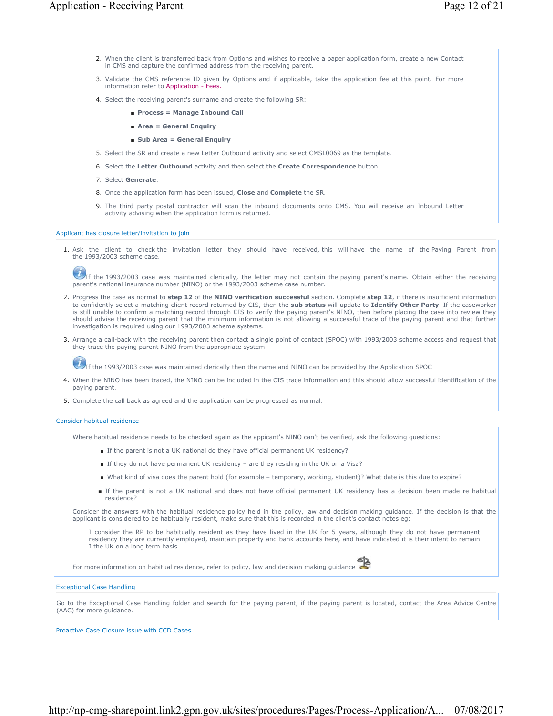- 2. When the client is transferred back from Options and wishes to receive a paper application form, create a new Contact in CMS and capture the confirmed address from the receiving parent.
- 3. Validate the CMS reference ID given by Options and if applicable, take the application fee at this point. For more information refer to Application - Fees.
- 4. Select the receiving parent's surname and create the following SR:
	- **Process = Manage Inbound Call**
	- **Area = General Enquiry**
	- **Sub Area = General Enquiry**
- 5. Select the SR and create a new Letter Outbound activity and select CMSL0069 as the template.
- 6. Select the **Letter Outbound** activity and then select the **Create Correspondence** button.
- 7. Select **Generate**.
- 8. Once the application form has been issued, **Close** and **Complete** the SR.
- 9. The third party postal contractor will scan the inbound documents onto CMS. You will receive an Inbound Letter activity advising when the application form is returned.

#### Applicant has closure letter/invitation to join

1. Ask the client to check the invitation letter they should have received, this will have the name of the Paying Parent from the 1993/2003 scheme case.

If the 1993/2003 case was maintained clerically, the letter may not contain the paying parent's name. Obtain either the receiving parent's national insurance number (NINO) or the 1993/2003 scheme case number.

- 2. Progress the case as normal to step 12 of the NINO verification successful section. Complete step 12, if there is insufficient information to confidently select a matching client record returned by CIS, then the **sub status** will update to **Identify Other Party**. If the caseworker is still unable to confirm a matching record through CIS to verify the paying parent's NINO, then before placing the case into review they should advise the receiving parent that the minimum information is not allowing a successful trace of the paying parent and that further investigation is required using our 1993/2003 scheme systems.
- 3. Arrange a call-back with the receiving parent then contact a single point of contact (SPOC) with 1993/2003 scheme access and request that they trace the paying parent NINO from the appropriate system.

 $U_{\text{If the 1993/2003 case was maintained clearly then the name and NINO can be provided by the Application SPOC.}$ 

- 4. When the NINO has been traced, the NINO can be included in the CIS trace information and this should allow successful identification of the paying parent.
- 5. Complete the call back as agreed and the application can be progressed as normal.

#### Consider habitual residence

Where habitual residence needs to be checked again as the appicant's NINO can't be verified, ask the following questions:

- If the parent is not a UK national do they have official permanent UK residency?
- If they do not have permanent UK residency are they residing in the UK on a Visa?
- What kind of visa does the parent hold (for example temporary, working, student)? What date is this due to expire?
- If the parent is not a UK national and does not have official permanent UK residency has a decision been made re habitual residence?

Consider the answers with the habitual residence policy held in the policy, law and decision making guidance. If the decision is that the applicant is considered to be habitually resident, make sure that this is recorded in the client's contact notes eg:

I consider the RP to be habitually resident as they have lived in the UK for 5 years, although they do not have permanent residency they are currently employed, maintain property and bank accounts here, and have indicated it is their intent to remain I the UK on a long term basis

For more information on habitual residence, refer to policy, law and decision making guidance

#### Exceptional Case Handling

Go to the Exceptional Case Handling folder and search for the paying parent, if the paying parent is located, contact the Area Advice Centre (AAC) for more guidance.

Proactive Case Closure issue with CCD Cases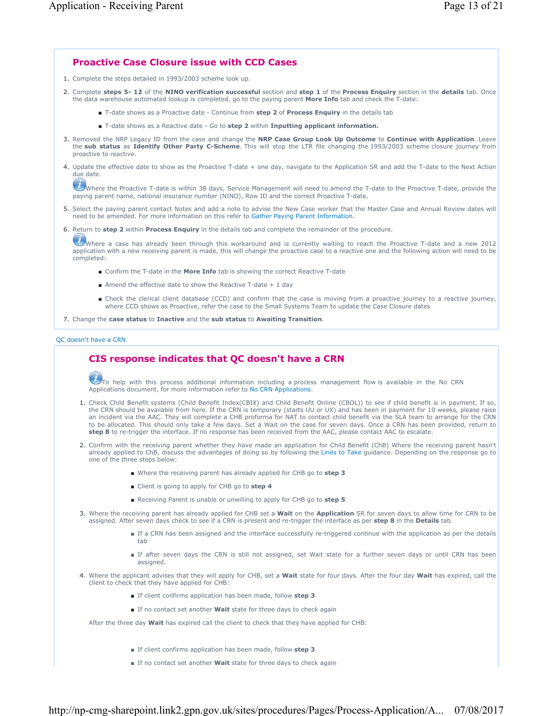# **Proactive Case Closure issue with CCD Cases**

- 1. Complete the steps detailed in 1993/2003 scheme look up.
- Complete **steps 5- 12** of the **NINO verification successful** section and **step 1** of the **Process Enquiry** section in the **details** tab. Once 2. the data warehouse automated lookup is completed, go to the paying parent **More Info** tab and check the T-date:
	- T-date shows as a Proactive date Continue from step 2 of Process Enquiry in the details tab
	- T-date shows as a Reactive date Go to **step 2** within **Inputting applicant information.**
- 3. Removed the NRP Legacy ID from the case and change the NRP Case Group Look Up Outcome to Continue with Application. Leave the **sub status** as **Identify Other Party C-Scheme**. This will stop the LTR file changing the 1993/2003 scheme closure journey from proactive to reactive.
- 4. Update the effective date to show as the Proactive T-date + one day, navigate to the Application SR and add the T-date to the Next Action due date.

Where the Proactive T-date is within 38 days, Service Management will need to amend the T-date to the Proactive T-date, provide the paying parent name, national insurance number (NINO), Row ID and the correct Proactive T-date.

- 5. Select the paying parent contact Notes and add a note to advise the New Case worker that the Master Case and Annual Review dates will need to be amended. For more information on this refer to Gather Paying Parent Information.
- 6. Return to **step 2** within **Process Enquiry** in the details tab and complete the remainder of the procedure.

Where a case has already been through this workaround and is currently waiting to reach the Proactive T-date and a new 2012 application with a new receiving parent is made, this will change the proactive case to a reactive one and the following action will need to be completed:

- Confirm the T-date in the **More Info** tab is showing the correct Reactive T-date
- Amend the effective date to show the Reactive T-date  $+1$  day
- Check the clerical client database (CCD) and confirm that the case is moving from a proactive journey to a reactive journey, where CCD shows as Proactive, refer the case to the Small Systems Team to update the Case Closure dates

7. Change the **case status** to **Inactive** and the **sub status** to **Awaiting Transition**.

### QC doesn't have a CRN

# **CIS response indicates that QC doesn't have a CRN**

 $U$ To help with this process additional information including a process management flow is available in the No CRN Applications document, for more information refer to No CRN Applications.

- 1. Check Child Benefit systems (Child Benefit Index(CBIX) and Child Benefit Online (CBOL)) to see if child benefit is in payment. If so, the CRN should be available from here. If the CRN is temporary (starts UU or UX) and has been in payment for 10 weeks, please raise an incident via the AAC. They will complete a CHB proforma for NAT to contact child benefit via the SLA team to arrange for the CRN to be allocated. This should only take a few days. Set a Wait on the case for seven days. Once a CRN has been provided, return to **step 8** to re-trigger the interface. If no response has been received from the AAC, please contact AAC to escalate.
- 2. Confirm with the receiving parent whether they have made an application for Child Benefit (ChB) Where the receiving parent hasn't already applied to ChB, discuss the advantages of doing so by following the Lines to Take guidance. Depending on the response go to one of the three steps below:
	- Where the receiving parent has already applied for CHB go to **step 3**
	- Client is going to apply for CHB go to **step 4**
	- Receiving Parent is unable or unwilling to apply for CHB go to **step 5**
- 3. Where the receiving parent has already applied for CHB set a **Wait** on the **Application** SR for seven days to allow time for CRN to be assigned. After seven days check to see if a CRN is present and re-trigger the interface as per **step 8** in the **Details** tab.
	- If a CRN has been assigned and the interface successfully re-triggered continue with the application as per the details tab
	- If after seven days the CRN is still not assigned, set Wait state for a further seven days or until CRN has been assigned.
- Where the applicant advises that they will apply for CHB, set a **Wait** state for four days. After the four day **Wait** has expired, call the 4. client to check that they have applied for CHB:
	- If client confirms application has been made, follow **step 3**
	- If no contact set another **Wait** state for three days to check again

After the three day **Wait** has expired call the client to check that they have applied for CHB:

- If client confirms application has been made, follow **step 3**
- If no contact set another **Wait** state for three days to check again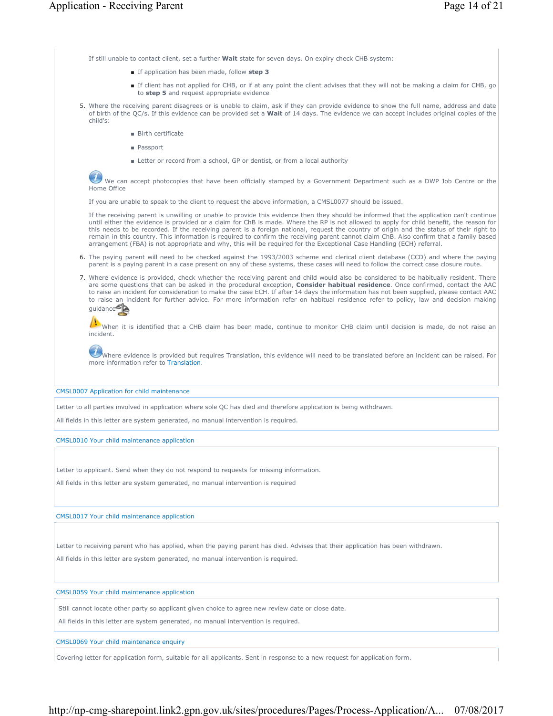If still unable to contact client, set a further **Wait** state for seven days. On expiry check CHB system:

- If application has been made, follow **step 3**
- If client has not applied for CHB, or if at any point the client advises that they will not be making a claim for CHB, go to **step 5** and request appropriate evidence
- Where the receiving parent disagrees or is unable to claim, ask if they can provide evidence to show the full name, address and date of birth of the QC/s. If this evidence can be provided set a **Wait** of 14 days. The evidence we can accept includes original copies of the child's: 5.
	- Birth certificate
	- Passport
	- Letter or record from a school, GP or dentist, or from a local authority

We can accept photocopies that have been officially stamped by a Government Department such as a DWP Job Centre or the Home Office

If you are unable to speak to the client to request the above information, a CMSL0077 should be issued.

If the receiving parent is unwilling or unable to provide this evidence then they should be informed that the application can't continue until either the evidence is provided or a claim for ChB is made. Where the RP is not allowed to apply for child benefit, the reason for this needs to be recorded. If the receiving parent is a foreign national, request the country of origin and the status of their right to remain in this country. This information is required to confirm the receiving parent cannot claim ChB. Also confirm that a family based arrangement (FBA) is not appropriate and why, this will be required for the Exceptional Case Handling (ECH) referral.

- 6. The paying parent will need to be checked against the 1993/2003 scheme and clerical client database (CCD) and where the paying parent is a paying parent in a case present on any of these systems, these cases will need to follow the correct case closure route.
- Where evidence is provided, check whether the receiving parent and child would also be considered to be habitually resident. There 7. are some questions that can be asked in the procedural exception, **Consider habitual residence**. Once confirmed, contact the AAC to raise an incident for consideration to make the case ECH. If after 14 days the information has not been supplied, please contact AAC to raise an incident for further advice. For more information refer on habitual residence refer to policy, law and decision making guidance

When it is identified that a CHB claim has been made, continue to monitor CHB claim until decision is made, do not raise an incident.

 $\dot{U}$ Where evidence is provided but requires Translation, this evidence will need to be translated before an incident can be raised. For more information refer to Translation.

CMSL0007 Application for child maintenance

Letter to all parties involved in application where sole QC has died and therefore application is being withdrawn.

All fields in this letter are system generated, no manual intervention is required.

CMSL0010 Your child maintenance application

Letter to applicant. Send when they do not respond to requests for missing information.

All fields in this letter are system generated, no manual intervention is required

CMSL0017 Your child maintenance application

Letter to receiving parent who has applied, when the paying parent has died. Advises that their application has been withdrawn.

All fields in this letter are system generated, no manual intervention is required.

CMSL0059 Your child maintenance application

Still cannot locate other party so applicant given choice to agree new review date or close date.

All fields in this letter are system generated, no manual intervention is required.

CMSL0069 Your child maintenance enquiry

Covering letter for application form, suitable for all applicants. Sent in response to a new request for application form.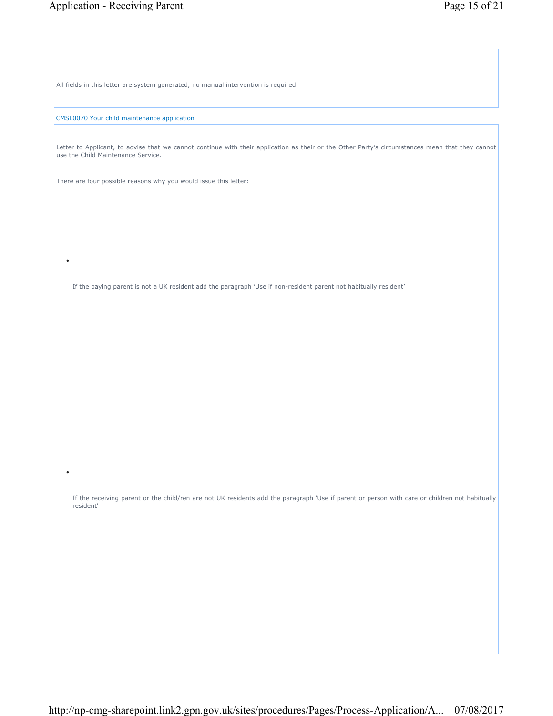All fields in this letter are system generated, no manual intervention is required.

CMSL0070 Your child maintenance application

•

•

Letter to Applicant, to advise that we cannot continue with their application as their or the Other Party's circumstances mean that they cannot use the Child Maintenance Service.

There are four possible reasons why you would issue this letter:

If the paying parent is not a UK resident add the paragraph 'Use if non-resident parent not habitually resident'

If the receiving parent or the child/ren are not UK residents add the paragraph 'Use if parent or person with care or children not habitually resident'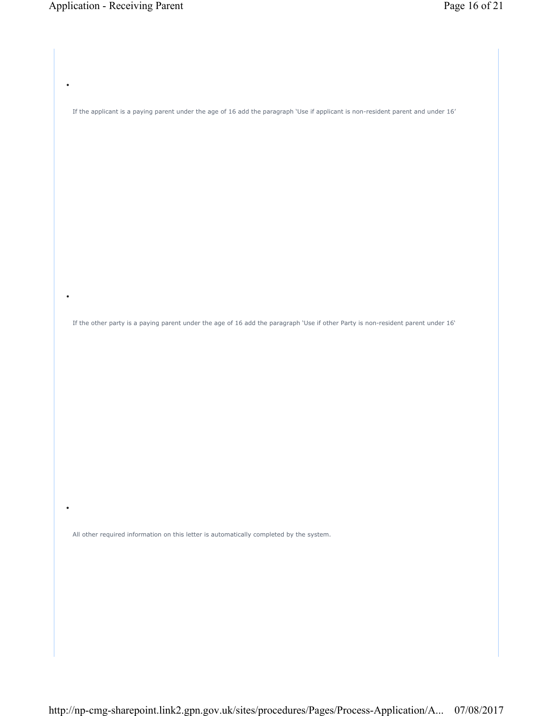•

•

If the applicant is a paying parent under the age of 16 add the paragraph 'Use if applicant is non-resident parent and under 16'

If the other party is a paying parent under the age of 16 add the paragraph 'Use if other Party is non-resident parent under 16'

All other required information on this letter is automatically completed by the system.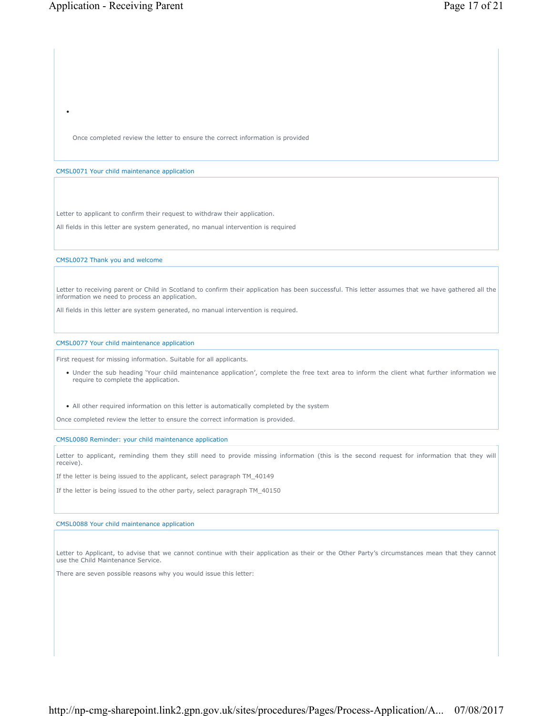Once completed review the letter to ensure the correct information is provided

#### CMSL0071 Your child maintenance application

Letter to applicant to confirm their request to withdraw their application.

All fields in this letter are system generated, no manual intervention is required

CMSL0072 Thank you and welcome

Letter to receiving parent or Child in Scotland to confirm their application has been successful. This letter assumes that we have gathered all the information we need to process an application.

All fields in this letter are system generated, no manual intervention is required.

### CMSL0077 Your child maintenance application

First request for missing information. Suitable for all applicants.

- Under the sub heading 'Your child maintenance application', complete the free text area to inform the client what further information we require to complete the application.
- All other required information on this letter is automatically completed by the system

Once completed review the letter to ensure the correct information is provided.

CMSL0080 Reminder: your child maintenance application

Letter to applicant, reminding them they still need to provide missing information (this is the second request for information that they will receive).

If the letter is being issued to the applicant, select paragraph TM\_40149

If the letter is being issued to the other party, select paragraph TM\_40150

#### CMSL0088 Your child maintenance application

Letter to Applicant, to advise that we cannot continue with their application as their or the Other Party's circumstances mean that they cannot use the Child Maintenance Service.

There are seven possible reasons why you would issue this letter: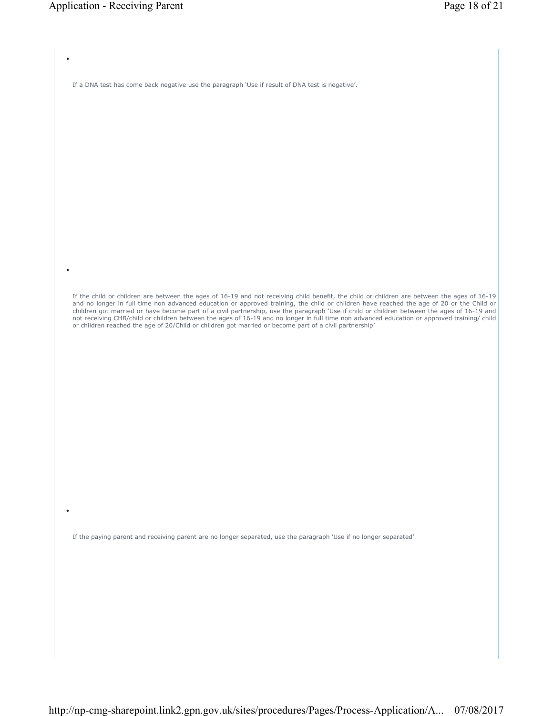•

•

If a DNA test has come back negative use the paragraph 'Use if result of DNA test is negative'.

If the child or children are between the ages of 16-19 and not receiving child benefit, the child or children are between the ages of 16-19 and no longer in full time non advanced education or approved training, the child or children have reached the age of 20 or the Child or children got married or have become part of a civil partnership, use the paragraph 'Use if child or children between the ages of 16-19 and<br>not receiving CHB/child or children between the ages of 16-19 and no longer in full or children reached the age of 20/Child or children got married or become part of a civil partnership'

If the paying parent and receiving parent are no longer separated, use the paragraph 'Use if no longer separated'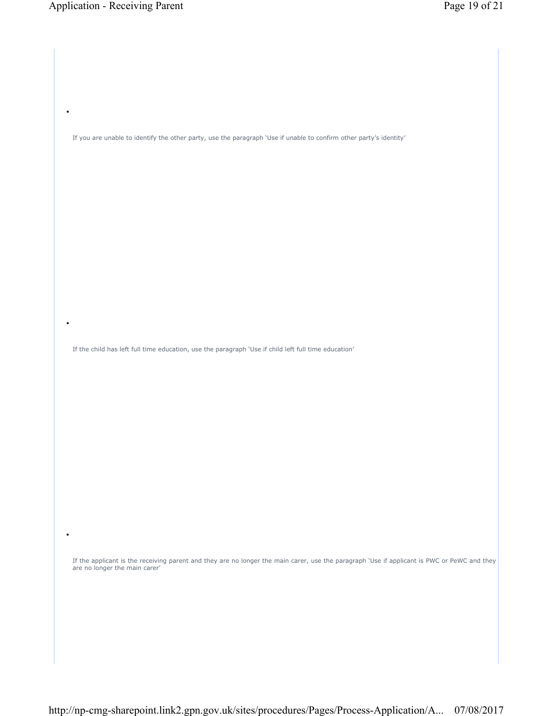•

•

If you are unable to identify the other party, use the paragraph 'Use if unable to confirm other party's identity'

If the child has left full time education, use the paragraph 'Use if child left full time education'

If the applicant is the receiving parent and they are no longer the main carer, use the paragraph 'Use if applicant is PWC or PeWC and they are no longer the main carer'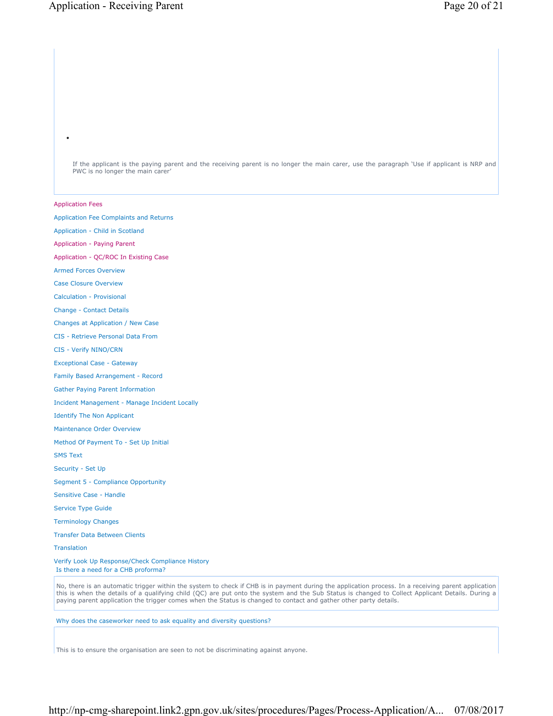If the applicant is the paying parent and the receiving parent is no longer the main carer, use the paragraph 'Use if applicant is NRP and PWC is no longer the main carer

#### Application Fees

•

Application Fee Complaints and Returns

Application - Child in Scotland

Application - Paying Parent

Application - QC/ROC In Existing Case

Armed Forces Overview

Case Closure Overview

Calculation - Provisional

Change - Contact Details

Changes at Application / New Case

CIS - Retrieve Personal Data From

CIS - Verify NINO/CRN

Exceptional Case - Gateway

Family Based Arrangement - Record

Gather Paying Parent Information

Incident Management - Manage Incident Locally

Identify The Non Applicant

Maintenance Order Overview

Method Of Payment To - Set Up Initial

SMS Text

Security - Set Up

Segment 5 - Compliance Opportunity

Sensitive Case - Handle

Service Type Guide

Terminology Changes

Transfer Data Between Clients

**Translation** 

Verify Look Up Response/Check Compliance History Is there a need for a CHB proforma?

No, there is an automatic trigger within the system to check if CHB is in payment during the application process. In a receiving parent application this is when the details of a qualifying child (QC) are put onto the system and the Sub Status is changed to Collect Applicant Details. During a paying parent application the trigger comes when the Status is changed to contact and gather other party details.

Why does the caseworker need to ask equality and diversity questions?

This is to ensure the organisation are seen to not be discriminating against anyone.